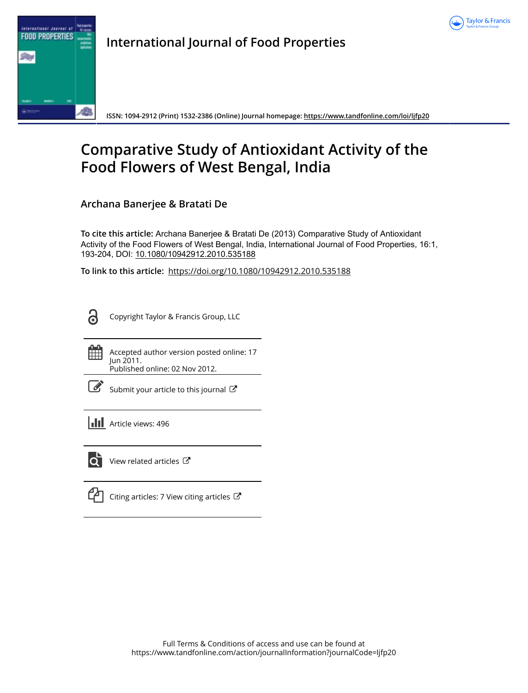



**International Journal of Food Properties**

**ISSN: 1094-2912 (Print) 1532-2386 (Online) Journal homepage:<https://www.tandfonline.com/loi/ljfp20>**

# **Comparative Study of Antioxidant Activity of the Food Flowers of West Bengal, India**

**Archana Banerjee & Bratati De**

**To cite this article:** Archana Banerjee & Bratati De (2013) Comparative Study of Antioxidant Activity of the Food Flowers of West Bengal, India, International Journal of Food Properties, 16:1, 193-204, DOI: [10.1080/10942912.2010.535188](https://www.tandfonline.com/action/showCitFormats?doi=10.1080/10942912.2010.535188)

**To link to this article:** <https://doi.org/10.1080/10942912.2010.535188>

႕

Copyright Taylor & Francis Group, LLC

鮋

Accepted author version posted online: 17 Jun 2011. Published online: 02 Nov 2012.

|--|

[Submit your article to this journal](https://www.tandfonline.com/action/authorSubmission?journalCode=ljfp20&show=instructions)  $\mathbb{Z}$ 

**Article views: 496** 



 $\overline{Q}$  [View related articles](https://www.tandfonline.com/doi/mlt/10.1080/10942912.2010.535188)  $\overline{C}$ 

[Citing articles: 7 View citing articles](https://www.tandfonline.com/doi/citedby/10.1080/10942912.2010.535188#tabModule)  $\mathbb{Z}$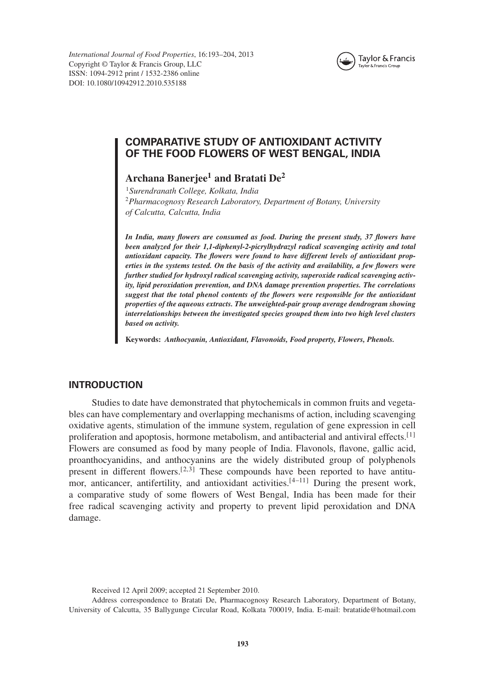*International Journal of Food Properties*, 16:193–204, 2013 Copyright © Taylor & Francis Group, LLC ISSN: 1094-2912 print / 1532-2386 online DOI: 10.1080/10942912.2010.535188



## **COMPARATIVE STUDY OF ANTIOXIDANT ACTIVITY OF THE FOOD FLOWERS OF WEST BENGAL, INDIA**

# **Archana Banerjee<sup>1</sup> and Bratati De<sup>2</sup>**

<sup>1</sup>*Surendranath College, Kolkata, India* <sup>2</sup>*Pharmacognosy Research Laboratory, Department of Botany, University of Calcutta, Calcutta, India*

*In India, many flowers are consumed as food. During the present study, 37 flowers have been analyzed for their 1,1-diphenyl-2-picrylhydrazyl radical scavenging activity and total antioxidant capacity. The flowers were found to have different levels of antioxidant properties in the systems tested. On the basis of the activity and availability, a few flowers were further studied for hydroxyl radical scavenging activity, superoxide radical scavenging activity, lipid peroxidation prevention, and DNA damage prevention properties. The correlations suggest that the total phenol contents of the flowers were responsible for the antioxidant properties of the aqueous extracts. The unweighted-pair group average dendrogram showing interrelationships between the investigated species grouped them into two high level clusters based on activity.*

**Keywords:** *Anthocyanin, Antioxidant, Flavonoids, Food property, Flowers, Phenols.*

## **INTRODUCTION**

Studies to date have demonstrated that phytochemicals in common fruits and vegetables can have complementary and overlapping mechanisms of action, including scavenging oxidative agents, stimulation of the immune system, regulation of gene expression in cell proliferation and apoptosis, hormone metabolism, and antibacterial and antiviral effects.<sup>[1]</sup> Flowers are consumed as food by many people of India. Flavonols, flavone, gallic acid, proanthocyanidins, and anthocyanins are the widely distributed group of polyphenols present in different flowers.[2,3] These compounds have been reported to have antitumor, anticancer, antifertility, and antioxidant activities.<sup>[4-11]</sup> During the present work, a comparative study of some flowers of West Bengal, India has been made for their free radical scavenging activity and property to prevent lipid peroxidation and DNA damage.

Received 12 April 2009; accepted 21 September 2010.

Address correspondence to Bratati De, Pharmacognosy Research Laboratory, Department of Botany, University of Calcutta, 35 Ballygunge Circular Road, Kolkata 700019, India. E-mail: bratatide@hotmail.com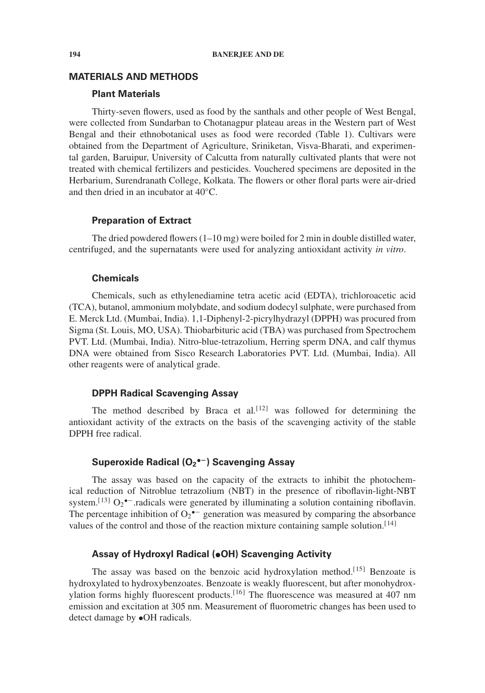## **MATERIALS AND METHODS**

## **Plant Materials**

Thirty-seven flowers, used as food by the santhals and other people of West Bengal, were collected from Sundarban to Chotanagpur plateau areas in the Western part of West Bengal and their ethnobotanical uses as food were recorded (Table 1). Cultivars were obtained from the Department of Agriculture, Sriniketan, Visva-Bharati, and experimental garden, Baruipur, University of Calcutta from naturally cultivated plants that were not treated with chemical fertilizers and pesticides. Vouchered specimens are deposited in the Herbarium, Surendranath College, Kolkata. The flowers or other floral parts were air-dried and then dried in an incubator at 40◦C.

#### **Preparation of Extract**

The dried powdered flowers (1–10 mg) were boiled for 2 min in double distilled water, centrifuged, and the supernatants were used for analyzing antioxidant activity *in vitro*.

#### **Chemicals**

Chemicals, such as ethylenediamine tetra acetic acid (EDTA), trichloroacetic acid (TCA), butanol, ammonium molybdate, and sodium dodecyl sulphate, were purchased from E. Merck Ltd. (Mumbai, India). 1,1-Diphenyl-2-picrylhydrazyl (DPPH) was procured from Sigma (St. Louis, MO, USA). Thiobarbituric acid (TBA) was purchased from Spectrochem PVT. Ltd. (Mumbai, India). Nitro-blue-tetrazolium, Herring sperm DNA, and calf thymus DNA were obtained from Sisco Research Laboratories PVT. Ltd. (Mumbai, India). All other reagents were of analytical grade.

#### **DPPH Radical Scavenging Assay**

The method described by Braca et al*.* [12] was followed for determining the antioxidant activity of the extracts on the basis of the scavenging activity of the stable DPPH free radical.

## **Superoxide Radical (O2 •−) Scavenging Assay**

The assay was based on the capacity of the extracts to inhibit the photochemical reduction of Nitroblue tetrazolium (NBT) in the presence of riboflavin-light-NBT system.<sup>[13]</sup>  $O_2$ <sup>•-</sup> radicals were generated by illuminating a solution containing riboflavin. The percentage inhibition of  $O_2^{\bullet-}$  generation was measured by comparing the absorbance values of the control and those of the reaction mixture containing sample solution.<sup>[14]</sup>

## **Assay of Hydroxyl Radical (•OH) Scavenging Activity**

The assay was based on the benzoic acid hydroxylation method.<sup>[15]</sup> Benzoate is hydroxylated to hydroxybenzoates. Benzoate is weakly fluorescent, but after monohydroxylation forms highly fluorescent products.<sup>[16]</sup> The fluorescence was measured at 407 nm emission and excitation at 305 nm. Measurement of fluorometric changes has been used to detect damage by •OH radicals.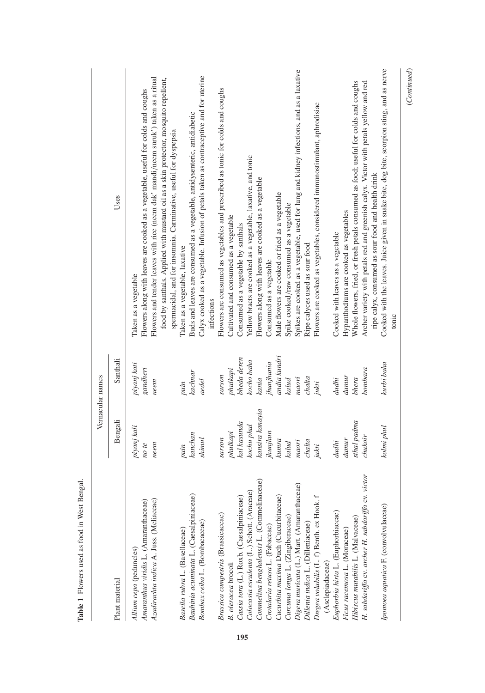| infections<br>andia kundri<br>bheda deren<br>Santhali<br>kocho baha<br>jhunjhunia<br>piyanj kati<br>gandheri<br>phulkapi<br>kachnar<br>uosans<br>dunur<br>chalta<br>maori<br>kania<br>bhera<br>kalud<br>dudhi<br>aedel<br>neem<br>jukti<br>puin<br>kansira kanayia<br>Bengali<br>sthal padma<br>kal kasunda<br>kochu phul<br>piyanj kali<br>phulkapi<br>jhunjhun<br>kanchan<br>shinul<br>sarson<br>dunur<br>kunra<br>m a or i<br>chalta<br>kalud<br>dudhi<br>neem<br>note<br>jukti<br>puin<br>Commelina benghalensis L. (Commelinaceae)<br>Digera muricata (L.) Mart. (Amaranthaceae)<br>Colocasia esculenta (L.) Schott. (Araceae)<br>Cucurbita maxima Duch (Cucurbitaceae)<br>Bauhinia acuminata L. (Caesalpiniaceae)<br>4<br>Cassia tora (L.) Roxb. (Caesalpiniaceae)<br>Amaranthus viridis L. (Amaranthaceae)<br>Azadirachta indica A. Juss. (Meliaceae)<br>Dregea volubilis (L. f) Benth. ex Hook.<br>Euphorbia hirta L. (Euphorbiaceae)<br>Brassica campestris (Brassicaceae)<br>Curcuma longa L. (Zingiberaceae)<br>Hibiscus mutabilis L. (Malvaceae)<br>Bombax ceiba L. (Bombacaceae)<br>Dillenia indica L. (Dilleniaceae)<br>Crotalaria retusa L. (Fabaceae)<br>Basella rubra L. (Basellaceae)<br>Ficus racemosa L. (Moraceae)<br>Allium cepa (peduncles)<br>B. oleracea brocoli<br>(Asclepiadaceae)<br>Plant material | Vernacular names                                                                                                                                                                                                                                                                                                                                                                                                         |
|---------------------------------------------------------------------------------------------------------------------------------------------------------------------------------------------------------------------------------------------------------------------------------------------------------------------------------------------------------------------------------------------------------------------------------------------------------------------------------------------------------------------------------------------------------------------------------------------------------------------------------------------------------------------------------------------------------------------------------------------------------------------------------------------------------------------------------------------------------------------------------------------------------------------------------------------------------------------------------------------------------------------------------------------------------------------------------------------------------------------------------------------------------------------------------------------------------------------------------------------------------------------------------------------------------------------------------|--------------------------------------------------------------------------------------------------------------------------------------------------------------------------------------------------------------------------------------------------------------------------------------------------------------------------------------------------------------------------------------------------------------------------|
|                                                                                                                                                                                                                                                                                                                                                                                                                                                                                                                                                                                                                                                                                                                                                                                                                                                                                                                                                                                                                                                                                                                                                                                                                                                                                                                                 | Uses                                                                                                                                                                                                                                                                                                                                                                                                                     |
|                                                                                                                                                                                                                                                                                                                                                                                                                                                                                                                                                                                                                                                                                                                                                                                                                                                                                                                                                                                                                                                                                                                                                                                                                                                                                                                                 | Flowers and tender leaves with rice (neem dak' mandi/neem suruk') taken as a ritual<br>food by santhals. Applied with mustard oil as a skin protector, mosquito repellent,<br>Flowers along with leaves are cooked as a vegetable, useful for colds and coughs<br>spermacidal, and for insomnia. Carminative, useful for dyspepsia<br>Taken as a vegetable                                                               |
|                                                                                                                                                                                                                                                                                                                                                                                                                                                                                                                                                                                                                                                                                                                                                                                                                                                                                                                                                                                                                                                                                                                                                                                                                                                                                                                                 | Calyx cooked as a vegetable. Infusion of petals taken as contraceptive and for uterine<br>Buds and leaves are consumed as a vegetable, antidysenteric, antidiabetic<br>Taken as a vegetable, laxative                                                                                                                                                                                                                    |
|                                                                                                                                                                                                                                                                                                                                                                                                                                                                                                                                                                                                                                                                                                                                                                                                                                                                                                                                                                                                                                                                                                                                                                                                                                                                                                                                 | Flowers are consumed as vegetables and prescribed as tonic for colds and coughs<br>Yellow bracts are cooked as a vegetable, laxative, and tonic<br>Flowers along with leaves are cooked as a vegetable<br>Cultivated and consumed as a vegetable<br>Consumed as a vegetable by santhals                                                                                                                                  |
|                                                                                                                                                                                                                                                                                                                                                                                                                                                                                                                                                                                                                                                                                                                                                                                                                                                                                                                                                                                                                                                                                                                                                                                                                                                                                                                                 | Spikes are cooked as a vegetable, used for lung and kidney infections, and as a laxative<br>Flowers are cooked as vegetables, considered immunostimulant, aphrodisiac<br>Male flowers are cooked or fried as a vegetable<br>Spike cooked/raw consumed as a vegetable<br>Ripe calyces used as sour food<br>Consumed as a vegetable                                                                                        |
| tonic<br>kurbi baha<br>kolmi phul<br>chukoir<br>H. sabdariffa cv. archer H. sabdariffa cv. victor<br>Ipomoea aquatica F. (convolvulaceae)                                                                                                                                                                                                                                                                                                                                                                                                                                                                                                                                                                                                                                                                                                                                                                                                                                                                                                                                                                                                                                                                                                                                                                                       | Cooked with the leaves. Juice given in snake bite, dog bite, scorpion sting, and as nerve<br>Whole flowers, fried, or fresh petals consumed as food; useful for colds and coughs<br>Archer variety with petals red and greenish calyx. Victor with petals yellow and red<br>ripe calyx, consumed as sour food and health drink<br>Hypanthodiums are cooked as vegetables<br>Cooked with leaves as a vegetable<br>bombara |

used as food in West Rengal **Table 1** Flowers used as food in West Bengal. ě Table 1 Flowe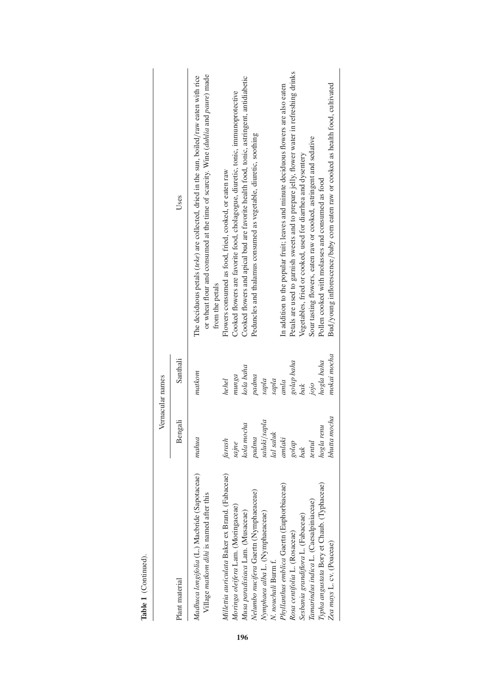|                                                                                          |                     | Vernacular names   |                                                                                                                                                                                                 |
|------------------------------------------------------------------------------------------|---------------------|--------------------|-------------------------------------------------------------------------------------------------------------------------------------------------------------------------------------------------|
| Plant material                                                                           | Bengali             | Santhali           | Uses                                                                                                                                                                                            |
| Madhuca longifolia (L.) Macbride (Sapotaceae)<br>Village matkom dihi is named after this | mahua               | matkom             | or wheat flour and consumed at the time of scarcity. Wine (duhlia and paure) made<br>The deciduous petals (teke) are collected, dried in the sun, boiled/raw eaten with rice<br>from the petals |
| Millettia auriculata Baker ex Brand. (Fabaceae)                                          | farash              | hehel              | Flowers consumed as food, fried, cooked, or eaten raw                                                                                                                                           |
| Moringa oleifera Lam. (Moringaceae)<br>Musa paradisiaca Lam. (Musaceae)                  | kola mocha<br>sajne | kola baha<br>munga | Cooked flowers and apical bud are favorite health food, tonic, astringent, antidiabetic<br>Cooked flowers are favorite food, cholagogue, diuretic, tonic, immunoprotective                      |
| Nelumbo nucifera Gaertn (Nymphaeaceae)                                                   | padna               | padma              | Peduncles and thalamus consumed as vegetable, diuretic, soothing                                                                                                                                |
| Nymphaea alba L. (Nymphaeaceae)                                                          | saluki/sapla        | supla              |                                                                                                                                                                                                 |
| N. nouchali Burm f.                                                                      | lal saluk           | sapla              |                                                                                                                                                                                                 |
| Phyllanthus emblica Gaertn (Euphorbiaceae)                                               | anlaki              | amla               | In addition to the popular fruit; leaves and minute deciduous flowers are also eaten                                                                                                            |
| Rosa centifolia L. (Rosaceae)                                                            | $\mathit{gold}$     | golap baha<br>bak  | Petals are used to garnish sweets and to prepare jelly, flower water in refreshing drinks                                                                                                       |
| Sesbania grandiflora L. (Fabaceae)                                                       | bak                 |                    | Vegetables, fried or cooked, used for diarrhea and dysentery                                                                                                                                    |
| Tamarindus indica L. (Caesalpiniaceae)                                                   | tentul              | jojo               | Sour tasting flowers, eaten raw or cooked, astringent and sedative                                                                                                                              |
| Typha angustata Bory et Chaub. (Typhaceae)                                               | hogla renu          | hogla baha         | Pollen cooked with molasses and consumed as food                                                                                                                                                |
| Zea mays L. cv. (Poaceae)                                                                | bhutta mocha        | mokai mocha        | Bud/young inflorescence/baby corn eaten raw or cooked as health food, cultivated                                                                                                                |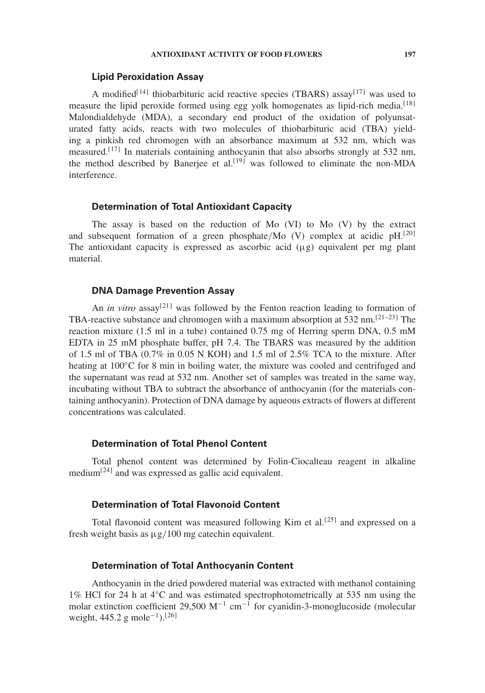#### **ANTIOXIDANT ACTIVITY OF FOOD FLOWERS 197**

### **Lipid Peroxidation Assay**

A modified<sup>[14]</sup> thiobarbituric acid reactive species (TBARS) assay<sup>[17]</sup> was used to measure the lipid peroxide formed using egg yolk homogenates as lipid-rich media.<sup>[18]</sup> Malondialdehyde (MDA), a secondary end product of the oxidation of polyunsaturated fatty acids, reacts with two molecules of thiobarbituric acid (TBA) yielding a pinkish red chromogen with an absorbance maximum at 532 nm, which was measured.<sup>[17]</sup> In materials containing anthocyanin that also absorbs strongly at 532 nm, the method described by Banerjee et al.<sup>[19]</sup> was followed to eliminate the non-MDA interference.

#### **Determination of Total Antioxidant Capacity**

The assay is based on the reduction of Mo (VI) to Mo (V) by the extract and subsequent formation of a green phosphate/Mo (V) complex at acidic  $pH$ <sup>[20]</sup> The antioxidant capacity is expressed as ascorbic acid  $(\mu g)$  equivalent per mg plant material.

## **DNA Damage Prevention Assay**

An *in vitro* assay<sup>[21]</sup> was followed by the Fenton reaction leading to formation of TBA-reactive substance and chromogen with a maximum absorption at 532 nm.<sup>[21–23]</sup> The reaction mixture (1.5 ml in a tube) contained 0.75 mg of Herring sperm DNA, 0.5 mM EDTA in 25 mM phosphate buffer, pH 7.4. The TBARS was measured by the addition of 1.5 ml of TBA (0.7% in 0.05 N KOH) and 1.5 ml of 2.5% TCA to the mixture. After heating at 100<sup>°</sup>C for 8 min in boiling water, the mixture was cooled and centrifuged and the supernatant was read at 532 nm. Another set of samples was treated in the same way, incubating without TBA to subtract the absorbance of anthocyanin (for the materials containing anthocyanin). Protection of DNA damage by aqueous extracts of flowers at different concentrations was calculated.

## **Determination of Total Phenol Content**

Total phenol content was determined by Folin-Ciocalteau reagent in alkaline medium<sup>[24]</sup> and was expressed as gallic acid equivalent.

## **Determination of Total Flavonoid Content**

Total flavonoid content was measured following Kim et al.<sup>[25]</sup> and expressed on a fresh weight basis as  $\mu$ g/100 mg catechin equivalent.

## **Determination of Total Anthocyanin Content**

Anthocyanin in the dried powdered material was extracted with methanol containing 1% HCl for 24 h at 4◦C and was estimated spectrophotometrically at 535 nm using the molar extinction coefficient 29,500 M<sup>-1</sup> cm<sup>-1</sup> for cyanidin-3-monoglucoside (molecular weight, 445.2 g mole<sup>-1</sup>).<sup>[26]</sup>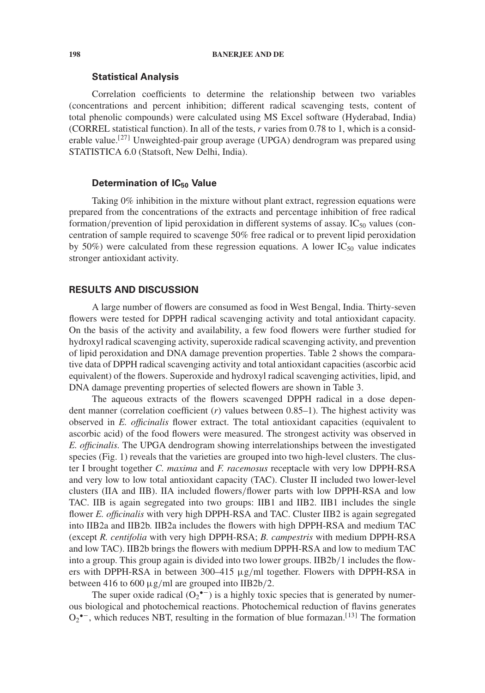#### **Statistical Analysis**

Correlation coefficients to determine the relationship between two variables (concentrations and percent inhibition; different radical scavenging tests, content of total phenolic compounds) were calculated using MS Excel software (Hyderabad, India) (CORREL statistical function). In all of the tests, *r* varies from 0.78 to 1, which is a considerable value.<sup>[27]</sup> Unweighted-pair group average (UPGA) dendrogram was prepared using STATISTICA 6.0 (Statsoft, New Delhi, India).

#### **Determination of IC<sub>50</sub> Value**

Taking 0% inhibition in the mixture without plant extract, regression equations were prepared from the concentrations of the extracts and percentage inhibition of free radical formation/prevention of lipid peroxidation in different systems of assay.  $IC_{50}$  values (concentration of sample required to scavenge 50% free radical or to prevent lipid peroxidation by 50%) were calculated from these regression equations. A lower  $IC_{50}$  value indicates stronger antioxidant activity.

#### **RESULTS AND DISCUSSION**

A large number of flowers are consumed as food in West Bengal, India. Thirty-seven flowers were tested for DPPH radical scavenging activity and total antioxidant capacity. On the basis of the activity and availability, a few food flowers were further studied for hydroxyl radical scavenging activity, superoxide radical scavenging activity, and prevention of lipid peroxidation and DNA damage prevention properties. Table 2 shows the comparative data of DPPH radical scavenging activity and total antioxidant capacities (ascorbic acid equivalent) of the flowers. Superoxide and hydroxyl radical scavenging activities, lipid, and DNA damage preventing properties of selected flowers are shown in Table 3.

The aqueous extracts of the flowers scavenged DPPH radical in a dose dependent manner (correlation coefficient (*r*) values between 0.85–1). The highest activity was observed in *E. officinalis* flower extract. The total antioxidant capacities (equivalent to ascorbic acid) of the food flowers were measured. The strongest activity was observed in *E. officinalis.* The UPGA dendrogram showing interrelationships between the investigated species (Fig. 1) reveals that the varieties are grouped into two high-level clusters. The cluster I brought together *C. maxima* and *F. racemosus* receptacle with very low DPPH-RSA and very low to low total antioxidant capacity (TAC). Cluster II included two lower-level clusters (IIA and IIB). IIA included flowers/flower parts with low DPPH-RSA and low TAC. IIB is again segregated into two groups: IIB1 and IIB2. IIB1 includes the single flower *E. officinalis* with very high DPPH-RSA and TAC. Cluster IIB2 is again segregated into IIB2a and IIB2b. IIB2a includes the flowers with high DPPH-RSA and medium TAC (except *R. centifolia* with very high DPPH-RSA; *B. campestris* with medium DPPH-RSA and low TAC). IIB2b brings the flowers with medium DPPH-RSA and low to medium TAC into a group. This group again is divided into two lower groups. IIB2b/1 includes the flowers with DPPH-RSA in between 300–415  $\mu$ g/ml together. Flowers with DPPH-RSA in between 416 to 600  $\mu$ g/ml are grouped into IIB2b/2.

The super oxide radical  $(O_2^{\bullet -})$  is a highly toxic species that is generated by numerous biological and photochemical reactions. Photochemical reduction of flavins generates  $O_2$ <sup>•–</sup>, which reduces NBT, resulting in the formation of blue formazan.<sup>[13]</sup> The formation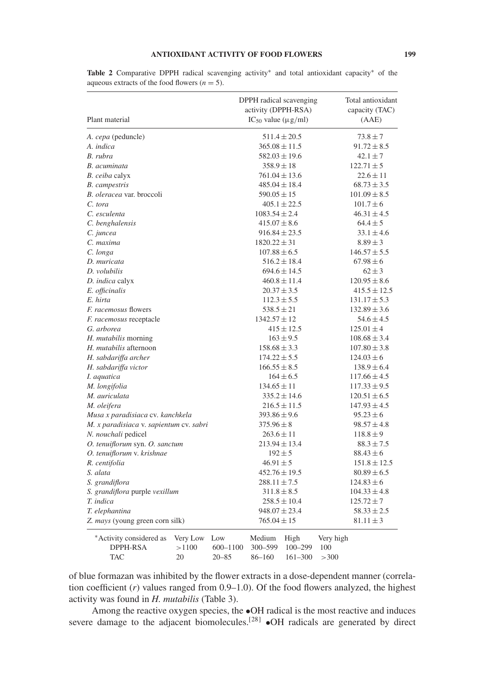#### **ANTIOXIDANT ACTIVITY OF FOOD FLOWERS 199**

| Plant material                          | DPPH radical scavenging<br>activity (DPPH-RSA)<br>$IC_{50}$ value ( $\mu$ g/ml) | Total antioxidant<br>capacity (TAC)<br>(AAE) |
|-----------------------------------------|---------------------------------------------------------------------------------|----------------------------------------------|
| A. cepa (peduncle)                      | $511.4 \pm 20.5$                                                                | $73.8 \pm 7$                                 |
| A. indica                               | $365.08 \pm 11.5$                                                               | $91.72 \pm 8.5$                              |
| B. rubra                                | $582.03 \pm 19.6$                                                               | $42.1 \pm 7$                                 |
| B. acuminata                            | $358.9 \pm 18$                                                                  | $122.71 \pm 5$                               |
| B. ceiba calyx                          | $761.04 \pm 13.6$                                                               | $22.6 \pm 11$                                |
| <b>B.</b> campestris                    | $485.04 \pm 18.4$                                                               | $68.73 \pm 3.5$                              |
| B. oleracea var. broccoli               | $590.05 \pm 15$                                                                 | $101.09 \pm 8.5$                             |
| C. tora                                 | $405.1 \pm 22.5$                                                                | $101.7 \pm 6$                                |
| C. esculenta                            | $1083.54 \pm 2.4$                                                               | $46.31 \pm 4.5$                              |
| C. benghalensis                         | $415.07 \pm 8.6$                                                                | $64.4 \pm 5$                                 |
| C. juncea                               | $916.84 \pm 23.5$                                                               | $33.1 \pm 4.6$                               |
| C. maxima                               | $1820.22 \pm 31$                                                                | $8.89 \pm 3$                                 |
| C. longa                                | $107.88 \pm 6.5$                                                                | $146.57 \pm 5.5$                             |
| D. muricata                             | $516.2 \pm 18.4$                                                                | $67.98 \pm 6$                                |
| D. volubilis                            | $694.6 \pm 14.5$                                                                | $62 \pm 3$                                   |
| D. indica calyx                         | $460.8 \pm 11.4$                                                                | $120.95 \pm 8.6$                             |
| E. officinalis                          | $20.37 \pm 3.5$                                                                 | $415.5 \pm 12.5$                             |
| E. hirta                                | $112.3 \pm 5.5$                                                                 | $131.17 \pm 5.3$                             |
| <i>F. racemosus</i> flowers             | $538.5 \pm 21$                                                                  | $132.89 \pm 3.6$                             |
| <i>F. racemosus</i> receptacle          | $1342.57 \pm 12$                                                                | $54.6 \pm 4.5$                               |
| G. arborea                              | $415 \pm 12.5$                                                                  | $125.01 \pm 4$                               |
| H. mutabilis morning                    | $163 \pm 9.5$                                                                   | $108.68 \pm 3.4$                             |
| H. mutabilis afternoon                  | $158.68 \pm 3.3$                                                                | $107.80 \pm 3.8$                             |
| H. sabdariffa archer                    | $174.22 \pm 5.5$                                                                | $124.03 \pm 6$                               |
| H. sabdariffa victor                    | $166.55 \pm 8.5$                                                                | $138.9 \pm 6.4$                              |
| I. aquatica                             | $164 \pm 6.5$                                                                   | $117.66 \pm 4.5$                             |
| M. longifolia                           | $134.65 \pm 11$                                                                 | $117.33 \pm 9.5$                             |
| M. auriculata                           | $335.2 \pm 14.6$                                                                | $120.51 \pm 6.5$                             |
| M. oleifera                             | $216.5 \pm 11.5$                                                                | $147.93 \pm 4.5$                             |
| Musa x paradisiaca cv. kanchkela        | $393.86 \pm 9.6$                                                                | $95.23 \pm 6$                                |
| M. x paradisiaca v. sapientum cv. sabri | $375.96 \pm 8$                                                                  | $98.57 \pm 4.8$                              |
| N. nouchali pedicel                     | $263.6 \pm 11$                                                                  | $118.8 \pm 9$                                |
| O. tenuiflorum syn. O. sanctum          | $213.94 \pm 13.4$                                                               | $88.3 \pm 7.5$                               |
| O. tenuiflorum v. krishnae              | $192 \pm 5$                                                                     | $88.43 \pm 6$                                |
| R. centifolia                           | $46.91 \pm 5$                                                                   | $151.8 \pm 12.5$                             |
| S. alata                                | $452.76 \pm 19.5$                                                               | $80.89 \pm 6.5$                              |
| S. grandiflora                          | $288.11 \pm 7.5$                                                                | $124.83 \pm 6$                               |
| S. grandiflora purple vexillum          | $311.8 \pm 8.5$                                                                 | $104.33 \pm 4.8$                             |
| T. indica                               | $258.5 \pm 10.4$                                                                | $125.72 \pm 7$                               |
| T. elephantina                          | $948.07 \pm 23.4$                                                               | $58.33 \pm 2.5$                              |
| Z. mays (young green corn silk)         | $765.04 \pm 15$                                                                 | $81.11 \pm 3$                                |
| Very Low Low<br>*Activity considered as | Medium<br>High                                                                  | Very high                                    |

**Table 2** Comparative DPPH radical scavenging activity∗ and total antioxidant capacity∗ of the aqueous extracts of the food flowers  $(n = 5)$ .

DPPH-RSA >1100 600–1100 300–599 100–299 100 TAC 20 20–85 86–160 161–300 >300

of blue formazan was inhibited by the flower extracts in a dose-dependent manner (correlation coefficient (*r*) values ranged from 0.9–1.0). Of the food flowers analyzed, the highest activity was found in *H. mutabilis* (Table 3).

Among the reactive oxygen species, the •OH radical is the most reactive and induces severe damage to the adjacent biomolecules.<sup>[28]</sup>  $\bullet$ OH radicals are generated by direct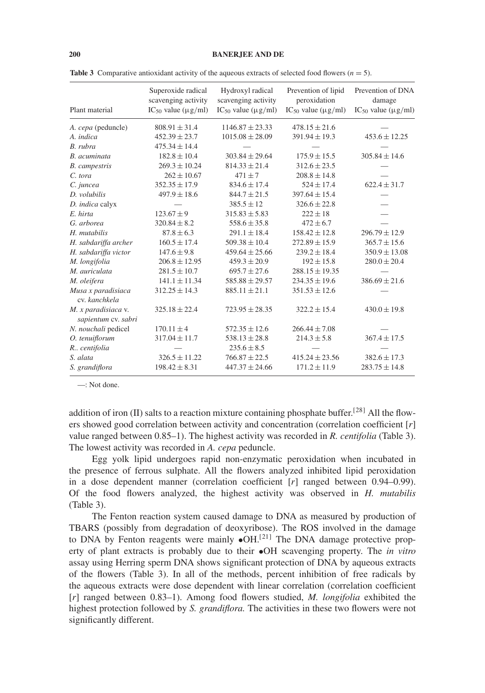| Plant material                             | Superoxide radical<br>scavenging activity<br>$IC_{50}$ value ( $\mu$ g/ml) | Hydroxyl radical<br>scavenging activity<br>IC <sub>50</sub> value ( $\mu$ g/ml) | Prevention of lipid<br>peroxidation<br>IC <sub>50</sub> value ( $\mu$ g/ml) | Prevention of DNA<br>damage<br>IC <sub>50</sub> value ( $\mu$ g/ml) |
|--------------------------------------------|----------------------------------------------------------------------------|---------------------------------------------------------------------------------|-----------------------------------------------------------------------------|---------------------------------------------------------------------|
| A. cepa (peduncle)                         | $808.91 \pm 31.4$                                                          | $1146.87 + 23.33$                                                               | $478.15 \pm 21.6$                                                           |                                                                     |
| A. indica                                  | $452.39 \pm 23.7$                                                          | $1015.08 \pm 28.09$                                                             | $391.94 \pm 19.3$                                                           | $453.6 \pm 12.25$                                                   |
| B. rubra                                   | $475.34 \pm 14.4$                                                          |                                                                                 |                                                                             |                                                                     |
| B. acuminata                               | $182.8 \pm 10.4$                                                           | $303.84 \pm 29.64$                                                              | $175.9 \pm 15.5$                                                            | $305.84 \pm 14.6$                                                   |
| <b>B.</b> campestris                       | $269.3 \pm 10.24$                                                          | $814.33 \pm 21.4$                                                               | $312.6 \pm 23.5$                                                            |                                                                     |
| C. tora                                    | $262 \pm 10.67$                                                            | $471 + 7$                                                                       | $208.8 \pm 14.8$                                                            |                                                                     |
| C. juncea                                  | $352.35 \pm 17.9$                                                          | $834.6 \pm 17.4$                                                                | $524 \pm 17.4$                                                              | $622.4 + 31.7$                                                      |
| D. volubilis                               | $497.9 \pm 18.6$                                                           | $844.7 \pm 21.5$                                                                | $397.64 \pm 15.4$                                                           |                                                                     |
| D. indica calyx                            |                                                                            | $385.5 + 12$                                                                    | $326.6 + 22.8$                                                              |                                                                     |
| E. hirta                                   | $123.67 \pm 9$                                                             | $315.83 \pm 5.83$                                                               | $222 \pm 18$                                                                |                                                                     |
| G. arborea                                 | $320.84 \pm 8.2$                                                           | $558.6 \pm 35.8$                                                                | $472 \pm 6.7$                                                               |                                                                     |
| H. mutabilis                               | $87.8 \pm 6.3$                                                             | $291.1 \pm 18.4$                                                                | $158.42 \pm 12.8$                                                           | $296.79 \pm 12.9$                                                   |
| H. sabdariffa archer                       | $160.5 \pm 17.4$                                                           | $509.38 \pm 10.4$                                                               | $272.89 \pm 15.9$                                                           | $365.7 \pm 15.6$                                                    |
| H. sabdariffa victor                       | $147.6 \pm 9.8$                                                            | $459.64 \pm 25.66$                                                              | $239.2 \pm 18.4$                                                            | $350.9 \pm 13.08$                                                   |
| M. longifolia                              | $206.8 \pm 12.95$                                                          | $459.3 \pm 20.9$                                                                | $192 \pm 15.8$                                                              | $280.0 \pm 20.4$                                                    |
| M. auriculata                              | $281.5 \pm 10.7$                                                           | $695.7 \pm 27.6$                                                                | $288.15 \pm 19.35$                                                          |                                                                     |
| M. oleifera                                | $141.1 \pm 11.34$                                                          | $585.88 \pm 29.57$                                                              | $234.35 \pm 19.6$                                                           | $386.69 \pm 21.6$                                                   |
| Musa x paradisiaca<br>cv. kanchkela        | $312.25 \pm 14.3$                                                          | $885.11 \pm 21.1$                                                               | $351.53 \pm 12.6$                                                           |                                                                     |
| M. x paradisiaca v.<br>sapientum cv. sabri | $325.18 \pm 22.4$                                                          | $723.95 \pm 28.35$                                                              | $322.2 \pm 15.4$                                                            | $430.0 \pm 19.8$                                                    |
| N. nouchali pedicel                        | $170.11 \pm 4$                                                             | $572.35 \pm 12.6$                                                               | $266.44 \pm 7.08$                                                           |                                                                     |
| O. tenuiflorum                             | $317.04 \pm 11.7$                                                          | $538.13 \pm 28.8$                                                               | $214.3 \pm 5.8$                                                             | $367.4 \pm 17.5$                                                    |
| R., centifolia                             |                                                                            | $235.6 \pm 8.5$                                                                 |                                                                             |                                                                     |
| S. alata                                   | $326.5 \pm 11.22$                                                          | $766.87 \pm 22.5$                                                               | $415.24 \pm 23.56$                                                          | $382.6 \pm 17.3$                                                    |
| S. grandiflora                             | $198.42 \pm 8.31$                                                          | $447.37 \pm 24.66$                                                              | $171.2 \pm 11.9$                                                            | $283.75 \pm 14.8$                                                   |

**Table 3** Comparative antioxidant activity of the aqueous extracts of selected food flowers  $(n = 5)$ .

—: Not done.

addition of iron (II) salts to a reaction mixture containing phosphate buffer.<sup>[28]</sup> All the flowers showed good correlation between activity and concentration (correlation coefficient [*r*] value ranged between 0.85–1). The highest activity was recorded in *R. centifolia* (Table 3). The lowest activity was recorded in *A. cepa* peduncle.

Egg yolk lipid undergoes rapid non-enzymatic peroxidation when incubated in the presence of ferrous sulphate. All the flowers analyzed inhibited lipid peroxidation in a dose dependent manner (correlation coefficient [*r*] ranged between 0.94–0.99). Of the food flowers analyzed, the highest activity was observed in *H. mutabilis* (Table 3).

The Fenton reaction system caused damage to DNA as measured by production of TBARS (possibly from degradation of deoxyribose). The ROS involved in the damage to DNA by Fenton reagents were mainly  $\bullet$ OH.<sup>[21]</sup> The DNA damage protective property of plant extracts is probably due to their •OH scavenging property. The *in vitro* assay using Herring sperm DNA shows significant protection of DNA by aqueous extracts of the flowers (Table 3). In all of the methods, percent inhibition of free radicals by the aqueous extracts were dose dependent with linear correlation (correlation coefficient [*r*] ranged between 0.83–1). Among food flowers studied, *M. longifolia* exhibited the highest protection followed by *S. grandiflora.* The activities in these two flowers were not significantly different.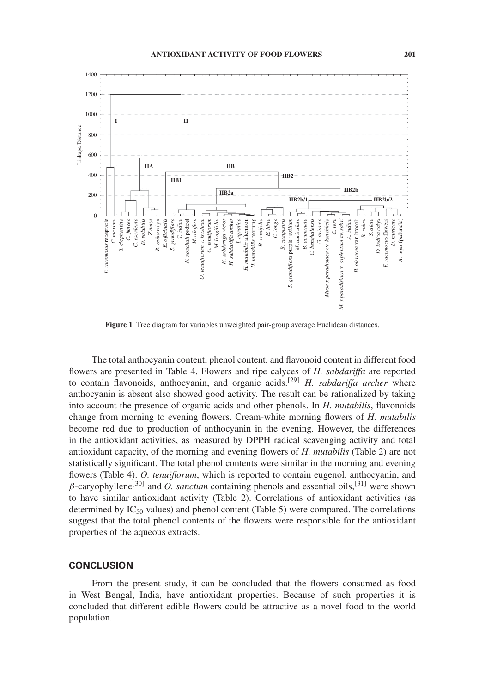

**Figure 1** Tree diagram for variables unweighted pair-group average Euclidean distances.

The total anthocyanin content, phenol content, and flavonoid content in different food flowers are presented in Table 4. Flowers and ripe calyces of *H. sabdariffa* are reported to contain flavonoids, anthocyanin, and organic acids.[29] *H. sabdariffa archer* where anthocyanin is absent also showed good activity. The result can be rationalized by taking into account the presence of organic acids and other phenols. In *H. mutabilis*, flavonoids change from morning to evening flowers. Cream-white morning flowers of *H. mutabilis* become red due to production of anthocyanin in the evening. However, the differences in the antioxidant activities, as measured by DPPH radical scavenging activity and total antioxidant capacity, of the morning and evening flowers of *H. mutabilis* (Table 2) are not statistically significant. The total phenol contents were similar in the morning and evening flowers (Table 4). *O. tenuiflorum*, which is reported to contain eugenol, anthocyanin, and  $\beta$ -caryophyllene<sup>[30]</sup> and *O. sanctum* containing phenols and essential oils,<sup>[31]</sup> were shown to have similar antioxidant activity (Table 2). Correlations of antioxidant activities (as determined by  $IC_{50}$  values) and phenol content (Table 5) were compared. The correlations suggest that the total phenol contents of the flowers were responsible for the antioxidant properties of the aqueous extracts.

## **CONCLUSION**

From the present study, it can be concluded that the flowers consumed as food in West Bengal, India, have antioxidant properties. Because of such properties it is concluded that different edible flowers could be attractive as a novel food to the world population.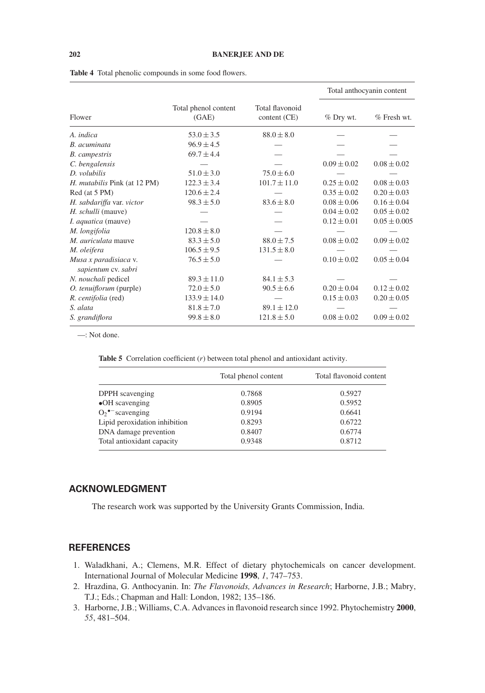|                                              |                               |                                 |                 | Total anthocyanin content |
|----------------------------------------------|-------------------------------|---------------------------------|-----------------|---------------------------|
| Flower                                       | Total phenol content<br>(GAE) | Total flavonoid<br>content (CE) | $%$ Dry wt.     | % Fresh wt.               |
| A. indica                                    | $53.0 \pm 3.5$                | $88.0 \pm 8.0$                  |                 |                           |
| B. acuminata                                 | $96.9 \pm 4.5$                |                                 |                 |                           |
| <b>B.</b> campestris                         | $69.7 \pm 4.4$                |                                 |                 |                           |
| C. bengalensis                               |                               |                                 | $0.09 \pm 0.02$ | $0.08 \pm 0.02$           |
| D. volubilis                                 | $51.0 \pm 3.0$                | $75.0 \pm 6.0$                  |                 |                           |
| H. mutabilis Pink (at 12 PM)                 | $122.3 \pm 3.4$               | $101.7 \pm 11.0$                | $0.25 \pm 0.02$ | $0.08 \pm 0.03$           |
| Red (at 5 PM)                                | $120.6 \pm 2.4$               |                                 | $0.35 \pm 0.02$ | $0.20 \pm 0.03$           |
| H. sabdariffa var. victor                    | $98.3 \pm 5.0$                | $83.6 \pm 8.0$                  | $0.08 \pm 0.06$ | $0.16 \pm 0.04$           |
| H. schulli (mauve)                           |                               |                                 | $0.04 \pm 0.02$ | $0.05 \pm 0.02$           |
| <i>I. aquatica</i> (mauve)                   |                               |                                 | $0.12 \pm 0.01$ | $0.05 \pm 0.005$          |
| M. longifolia                                | $120.8 \pm 8.0$               |                                 |                 |                           |
| M. <i>auriculata</i> mauve                   | $83.3 \pm 5.0$                | $88.0 \pm 7.5$                  | $0.08 \pm 0.02$ | $0.09 \pm 0.02$           |
| M. oleifera                                  | $106.5 \pm 9.5$               | $131.5 \pm 8.0$                 |                 |                           |
| Musa x paradisiaca v.<br>sapientum cv. sabri | $76.5 \pm 5.0$                |                                 | $0.10 \pm 0.02$ | $0.05 \pm 0.04$           |
| N. nouchali pedicel                          | $89.3 \pm 11.0$               | $84.1 \pm 5.3$                  |                 |                           |
| O. tenuiflorum (purple)                      | $72.0 \pm 5.0$                | $90.5 \pm 6.6$                  | $0.20 \pm 0.04$ | $0.12 \pm 0.02$           |
| R. centifolia (red)                          | $133.9 \pm 14.0$              |                                 | $0.15 \pm 0.03$ | $0.20 \pm 0.05$           |
| S. alata                                     | $81.8 \pm 7.0$                | $89.1 \pm 12.0$                 |                 |                           |
| S. grandiflora                               | $99.8 \pm 8.0$                | $121.8 \pm 5.0$                 | $0.08 \pm 0.02$ | $0.09 \pm 0.02$           |

| <b>Table 4</b> Total phenolic compounds in some food flowers. |  |
|---------------------------------------------------------------|--|
|---------------------------------------------------------------|--|

—: Not done.

|  | <b>Table 5</b> Correlation coefficient $(r)$ between total phenol and antioxidant activity. |  |  |  |  |  |  |  |  |
|--|---------------------------------------------------------------------------------------------|--|--|--|--|--|--|--|--|
|--|---------------------------------------------------------------------------------------------|--|--|--|--|--|--|--|--|

|                                | Total phenol content | Total flavonoid content |
|--------------------------------|----------------------|-------------------------|
| DPPH scavenging                | 0.7868               | 0.5927                  |
| $\bullet$ OH scavenging        | 0.8905               | 0.5952                  |
| $O_2$ <sup>•-</sup> scavenging | 0.9194               | 0.6641                  |
| Lipid peroxidation inhibition  | 0.8293               | 0.6722                  |
| DNA damage prevention          | 0.8407               | 0.6774                  |
| Total antioxidant capacity     | 0.9348               | 0.8712                  |

## **ACKNOWLEDGMENT**

The research work was supported by the University Grants Commission, India.

## **REFERENCES**

- 1. Waladkhani, A.; Clemens, M.R. Effect of dietary phytochemicals on cancer development. International Journal of Molecular Medicine **1998**, *1*, 747–753.
- 2. Hrazdina, G. Anthocyanin. In: *The Flavonoids, Advances in Research*; Harborne, J.B.; Mabry, T.J.; Eds.; Chapman and Hall: London, 1982; 135–186.
- 3. Harborne, J.B.; Williams, C.A. Advances in flavonoid research since 1992. Phytochemistry **2000**, *55*, 481–504.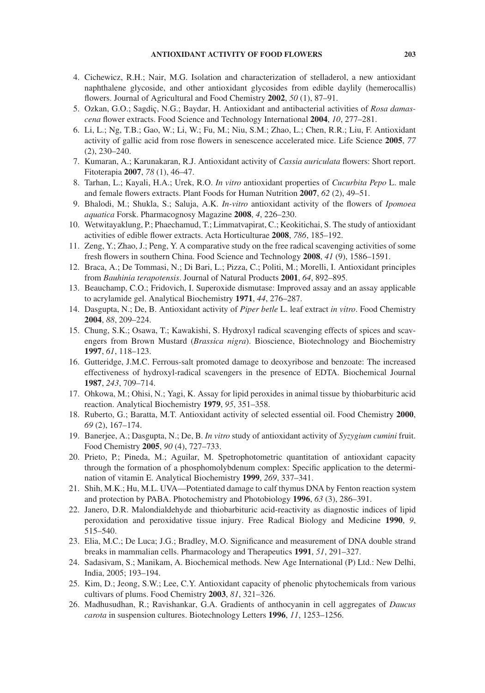- 4. Cichewicz, R.H.; Nair, M.G. Isolation and characterization of stelladerol, a new antioxidant naphthalene glycoside, and other antioxidant glycosides from edible daylily (hemerocallis) flowers. Journal of Agricultural and Food Chemistry **2002**, *50* (1), 87–91.
- 5. Ozkan, G.O.; Sagdiç, N.G.; Baydar, H. Antioxidant and antibacterial activities of *Rosa damascena* flower extracts. Food Science and Technology International **2004**, *10*, 277–281.
- 6. Li, L.; Ng, T.B.; Gao, W.; Li, W.; Fu, M.; Niu, S.M.; Zhao, L.; Chen, R.R.; Liu, F. Antioxidant activity of gallic acid from rose flowers in senescence accelerated mice. Life Science **2005**, *77* (2), 230–240.
- 7. Kumaran, A.; Karunakaran, R.J. Antioxidant activity of *Cassia auriculata* flowers: Short report. Fitoterapia **2007**, *78* (1), 46–47.
- 8. Tarhan, L.; Kayali, H.A.; Urek, R.O. *In vitro* antioxidant properties of *Cucurbita Pepo* L. male and female flowers extracts. Plant Foods for Human Nutrition **2007**, *62* (2), 49–51.
- 9. Bhalodi, M.; Shukla, S.; Saluja, A.K. *In-vitro* antioxidant activity of the flowers of *Ipomoea aquatica* Forsk. Pharmacognosy Magazine **2008**, *4*, 226–230.
- 10. Wetwitayaklung, P.; Phaechamud, T.; Limmatvapirat, C.; Keokitichai, S. The study of antioxidant activities of edible flower extracts. Acta Horticulturae **2008**, *786*, 185–192.
- 11. Zeng, Y.; Zhao, J.; Peng, Y. A comparative study on the free radical scavenging activities of some fresh flowers in southern China. Food Science and Technology **2008**, *41* (9), 1586–1591.
- 12. Braca, A.; De Tommasi, N.; Di Bari, L.; Pizza, C.; Politi, M.; Morelli, I. Antioxidant principles from *Bauhinia terapotensis*. Journal of Natural Products **2001**, *64*, 892–895.
- 13. Beauchamp, C.O.; Fridovich, I. Superoxide dismutase: Improved assay and an assay applicable to acrylamide gel. Analytical Biochemistry **1971**, *44*, 276–287.
- 14. Dasgupta, N.; De, B. Antioxidant activity of *Piper betle* L. leaf extract *in vitro*. Food Chemistry **2004**, *88*, 209–224.
- 15. Chung, S.K.; Osawa, T.; Kawakishi, S. Hydroxyl radical scavenging effects of spices and scavengers from Brown Mustard (*Brassica nigra*). Bioscience, Biotechnology and Biochemistry **1997**, *61*, 118–123.
- 16. Gutteridge, J.M.C. Ferrous-salt promoted damage to deoxyribose and benzoate: The increased effectiveness of hydroxyl-radical scavengers in the presence of EDTA. Biochemical Journal **1987**, *243*, 709–714.
- 17. Ohkowa, M.; Ohisi, N.; Yagi, K. Assay for lipid peroxides in animal tissue by thiobarbituric acid reaction. Analytical Biochemistry **1979**, *95*, 351–358.
- 18. Ruberto, G.; Baratta, M.T. Antioxidant activity of selected essential oil. Food Chemistry **2000**, *69* (2), 167–174.
- 19. Banerjee, A.; Dasgupta, N.; De, B. *In vitro* study of antioxidant activity of *Syzygium cumini* fruit. Food Chemistry **2005**, *90* (4), 727–733.
- 20. Prieto, P.; Pineda, M.; Aguilar, M. Spetrophotometric quantitation of antioxidant capacity through the formation of a phosphomolybdenum complex: Specific application to the determination of vitamin E. Analytical Biochemistry **1999**, *269*, 337–341.
- 21. Shih, M.K.; Hu, M.L. UVA—Potentiated damage to calf thymus DNA by Fenton reaction system and protection by PABA. Photochemistry and Photobiology **1996**, *63* (3), 286–391.
- 22. Janero, D.R. Malondialdehyde and thiobarbituric acid-reactivity as diagnostic indices of lipid peroxidation and peroxidative tissue injury. Free Radical Biology and Medicine **1990**, *9*, 515–540.
- 23. Elia, M.C.; De Luca; J.G.; Bradley, M.O. Significance and measurement of DNA double strand breaks in mammalian cells. Pharmacology and Therapeutics **1991**, *51*, 291–327.
- 24. Sadasivam, S.; Manikam, A. Biochemical methods. New Age International (P) Ltd.: New Delhi, India, 2005; 193–194.
- 25. Kim, D.; Jeong, S.W.; Lee, C.Y. Antioxidant capacity of phenolic phytochemicals from various cultivars of plums. Food Chemistry **2003**, *81*, 321–326.
- 26. Madhusudhan, R.; Ravishankar, G.A. Gradients of anthocyanin in cell aggregates of *Daucus carota* in suspension cultures. Biotechnology Letters **1996**, *11*, 1253–1256.